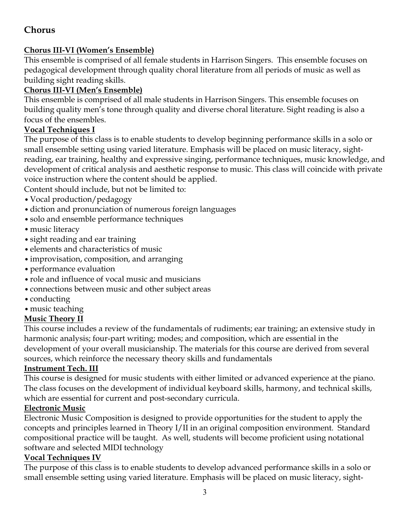# **Chorus**

## **Chorus III-VI (Women's Ensemble)**

This ensemble is comprised of all female students in Harrison Singers. This ensemble focuses on pedagogical development through quality choral literature from all periods of music as well as building sight reading skills.

# **Chorus III-VI (Men's Ensemble)**

This ensemble is comprised of all male students in Harrison Singers. This ensemble focuses on building quality men's tone through quality and diverse choral literature. Sight reading is also a focus of the ensembles.

## **Vocal Techniques I**

The purpose of this class is to enable students to develop beginning performance skills in a solo or small ensemble setting using varied literature. Emphasis will be placed on music literacy, sightreading, ear training, healthy and expressive singing, performance techniques, music knowledge, and development of critical analysis and aesthetic response to music. This class will coincide with private voice instruction where the content should be applied.

Content should include, but not be limited to:

- Vocal production/pedagogy
- •diction and pronunciation of numerous foreign languages
- solo and ensemble performance techniques
- music literacy
- •sight reading and ear training
- elements and characteristics of music
- •improvisation, composition, and arranging
- •performance evaluation
- role and influence of vocal music and musicians
- •connections between music and other subject areas
- conducting
- music teaching

## **Music Theory II**

This course includes a review of the fundamentals of rudiments; ear training; an extensive study in harmonic analysis; four-part writing; modes; and composition, which are essential in the development of your overall musicianship. The materials for this course are derived from several sources, which reinforce the necessary theory skills and fundamentals

### **Instrument Tech. III**

This course is designed for music students with either limited or advanced experience at the piano. The class focuses on the development of individual keyboard skills, harmony, and technical skills, which are essential for current and post-secondary curricula.

### **Electronic Music**

Electronic Music Composition is designed to provide opportunities for the student to apply the concepts and principles learned in Theory I/II in an original composition environment. Standard compositional practice will be taught. As well, students will become proficient using notational software and selected MIDI technology

### **Vocal Techniques IV**

The purpose of this class is to enable students to develop advanced performance skills in a solo or small ensemble setting using varied literature. Emphasis will be placed on music literacy, sight